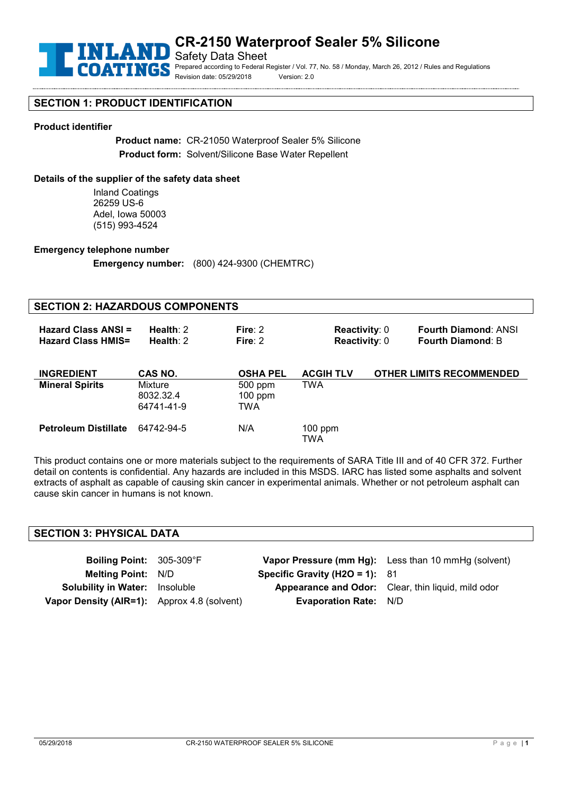

## **CR-2150 Waterproof Sealer 5% Silicone**

Safety Data Sheet Prepared according to Federal Register / Vol. 77, No. 58 / Monday, March 26, 2012 / Rules and Regulations Revision date: 05/29/2018 Version: 2.0

## **SECTION 1: PRODUCT IDENTIFICATION**

#### **Product identifier**

**Product name:** CR-21050 Waterproof Sealer 5% Silicone **Product form:** Solvent/Silicone Base Water Repellent

#### **Details of the supplier of the safety data sheet**

Inland Coatings 26259 US-6 Adel, Iowa 50003 (515) 993-4524

#### **Emergency telephone number**

**Emergency number:** (800) 424-9300 (CHEMTRC)

#### **SECTION 2: HAZARDOUS COMPONENTS Hazard Class ANSI = Health**: 2 **Fire**: 2 **Reactivity**: 0 **Fourth Diamond**: ANSI **Fourth Diamond: B INGREDIENT CAS NO. OSHA PEL ACGIH TLV OTHER LIMITS RECOMMENDED Mineral Spirits** Mixture 8032.32.4 64741-41-9 500 ppm 100 ppm TWA TWA **Petroleum Distillate** 64742-94-5 N/A 100 ppm **TWA**

This product contains one or more materials subject to the requirements of SARA Title III and of 40 CFR 372. Further detail on contents is confidential. Any hazards are included in this MSDS. IARC has listed some asphalts and solvent extracts of asphalt as capable of causing skin cancer in experimental animals. Whether or not petroleum asphalt can cause skin cancer in humans is not known.

#### **SECTION 3: PHYSICAL DATA**

| Boiling Point: 305-309°F                    |                                  | Vapor Pressure (mm Hg): Less than 10 mmHg (solvent)       |
|---------------------------------------------|----------------------------------|-----------------------------------------------------------|
| <b>Melting Point: N/D</b>                   | Specific Gravity (H2O = 1): $81$ |                                                           |
| <b>Solubility in Water:</b> Insoluble       |                                  | <b>Appearance and Odor:</b> Clear, thin liquid, mild odor |
| Vapor Density (AIR=1): Approx 4.8 (solvent) | <b>Evaporation Rate: N/D</b>     |                                                           |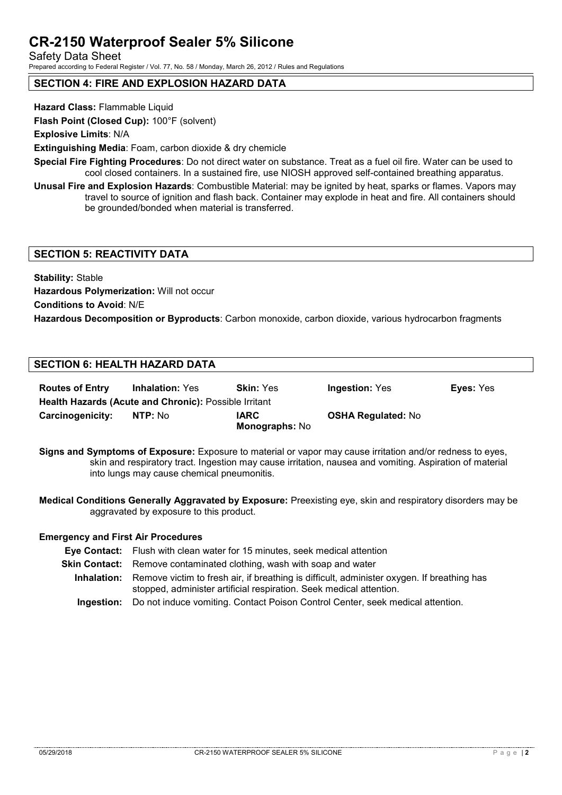# **CR-2150 Waterproof Sealer 5% Silicone**

Safety Data Sheet

Prepared according to Federal Register / Vol. 77, No. 58 / Monday, March 26, 2012 / Rules and Regulations

## **SECTION 4: FIRE AND EXPLOSION HAZARD DATA**

**Hazard Class:** Flammable Liquid

**Flash Point (Closed Cup):** 100°F (solvent)

**Explosive Limits**: N/A

**Extinguishing Media**: Foam, carbon dioxide & dry chemicle

**Special Fire Fighting Procedures**: Do not direct water on substance. Treat as a fuel oil fire. Water can be used to cool closed containers. In a sustained fire, use NIOSH approved self-contained breathing apparatus.

**Unusal Fire and Explosion Hazards**: Combustible Material: may be ignited by heat, sparks or flames. Vapors may travel to source of ignition and flash back. Container may explode in heat and fire. All containers should be grounded/bonded when material is transferred.

## **SECTION 5: REACTIVITY DATA**

**Stability:** Stable **Hazardous Polymerization:** Will not occur **Conditions to Avoid**: N/E **Hazardous Decomposition or Byproducts**: Carbon monoxide, carbon dioxide, various hydrocarbon fragments

## **SECTION 6: HEALTH HAZARD DATA**

| <b>Routes of Entry</b>                                       | <b>Inhalation: Yes</b> | <b>Skin: Yes</b>                     | <b>Ingestion: Yes</b>     | <b>Eyes: Yes</b> |  |  |  |
|--------------------------------------------------------------|------------------------|--------------------------------------|---------------------------|------------------|--|--|--|
| <b>Health Hazards (Acute and Chronic): Possible Irritant</b> |                        |                                      |                           |                  |  |  |  |
| Carcinogenicity:                                             | NTP: No                | <b>IARC</b><br><b>Monographs: No</b> | <b>OSHA Regulated: No</b> |                  |  |  |  |

**Signs and Symptoms of Exposure:** Exposure to material or vapor may cause irritation and/or redness to eyes, skin and respiratory tract. Ingestion may cause irritation, nausea and vomiting. Aspiration of material into lungs may cause chemical pneumonitis.

**Medical Conditions Generally Aggravated by Exposure:** Preexisting eye, skin and respiratory disorders may be aggravated by exposure to this product.

### **Emergency and First Air Procedures**

- **Eye Contact:** Flush with clean water for 15 minutes, seek medical attention
- **Skin Contact:** Remove contaminated clothing, wash with soap and water
- **Inhalation:** Remove victim to fresh air, if breathing is difficult, administer oxygen. If breathing has stopped, administer artificial respiration. Seek medical attention.
	- **Ingestion:** Do not induce vomiting. Contact Poison Control Center, seek medical attention.